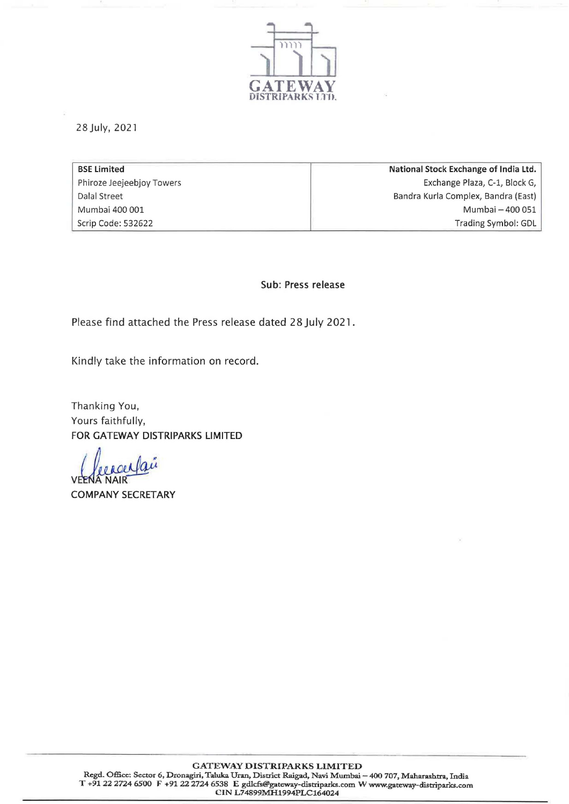

28 July, 2021

| National Stock Exchange of India Ltd. |
|---------------------------------------|
| Exchange Plaza, C-1, Block G,         |
| Bandra Kurla Complex, Bandra (East)   |
| Mumbai - 400 051                      |
| Trading Symbol: GDL                   |
|                                       |

Sub: Press release

Please find attached the Press release dated 28 July 2021.

Kindly take the information on record.

Thanking You, Yours faithfully, FOR GATEWAY DISTRIPARKS LIMITED

ver Vaie

COMPANY SECRETARY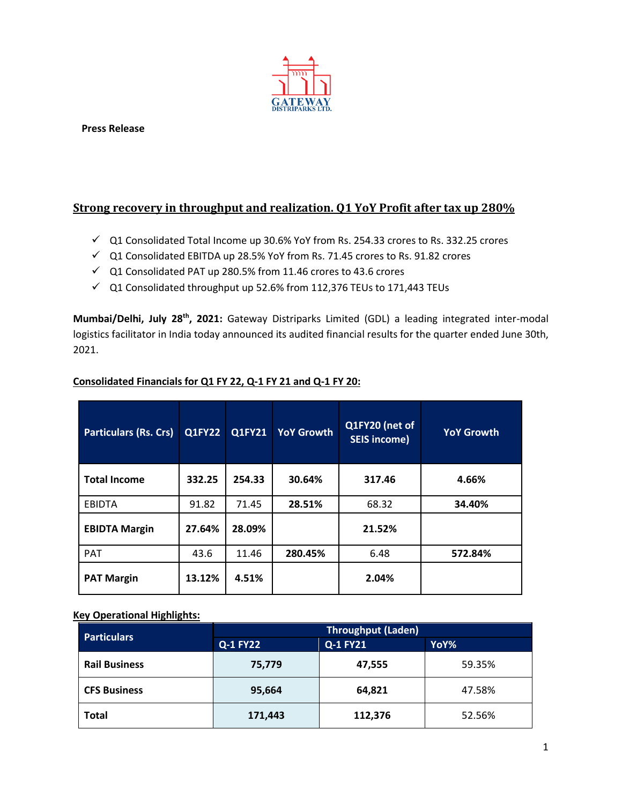

**Press Release**

### **Strong recovery in throughput and realization. Q1 YoY Profit after tax up 280%**

- $\checkmark$  Q1 Consolidated Total Income up 30.6% YoY from Rs. 254.33 crores to Rs. 332.25 crores
- Q1 Consolidated EBITDA up 28.5% YoY from Rs. 71.45 crores to Rs. 91.82 crores
- $\checkmark$  Q1 Consolidated PAT up 280.5% from 11.46 crores to 43.6 crores
- $\checkmark$  Q1 Consolidated throughput up 52.6% from 112,376 TEUs to 171,443 TEUs

**Mumbai/Delhi, July 28 th, 2021:** Gateway Distriparks Limited (GDL) a leading integrated inter-modal logistics facilitator in India today announced its audited financial results for the quarter ended June 30th, 2021.

| <b>Particulars (Rs. Crs)</b> | <b>Q1FY22</b> | Q1FY21 | <b>YoY Growth</b> | Q1FY20 (net of<br><b>SEIS income)</b> | <b>YoY Growth</b> |
|------------------------------|---------------|--------|-------------------|---------------------------------------|-------------------|
| <b>Total Income</b>          | 332.25        | 254.33 | 30.64%            | 317.46                                | 4.66%             |
| <b>EBIDTA</b>                | 91.82         | 71.45  | 28.51%            | 68.32                                 | 34.40%            |
| <b>EBIDTA Margin</b>         | 27.64%        | 28.09% |                   | 21.52%                                |                   |
| <b>PAT</b>                   | 43.6          | 11.46  | 280.45%           | 6.48                                  | 572.84%           |
| <b>PAT Margin</b>            | 13.12%        | 4.51%  |                   | 2.04%                                 |                   |

### **Consolidated Financials for Q1 FY 22, Q-1 FY 21 and Q-1 FY 20:**

### **Key Operational Highlights:**

| <b>Particulars</b>   | <b>Throughput (Laden)</b>   |         |        |  |  |
|----------------------|-----------------------------|---------|--------|--|--|
|                      | Q-1 FY21<br><b>Q-1 FY22</b> |         | YoY%   |  |  |
| <b>Rail Business</b> | 75,779                      | 47,555  | 59.35% |  |  |
| <b>CFS Business</b>  | 95,664                      | 64,821  | 47.58% |  |  |
| <b>Total</b>         | 171,443                     | 112,376 | 52.56% |  |  |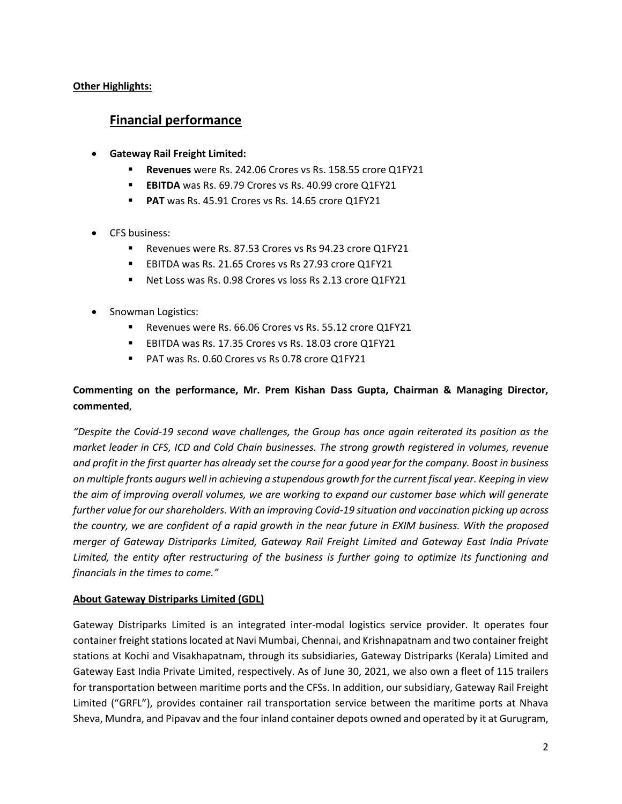**Other Highlights:**

# **Financial performance**

- **Gateway Rail Freight Limited:**
	- **Revenues** were Rs. 242.06 Crores vs Rs. 158.55 crore Q1FY21
	- **EBITDA** was Rs. 69.79 Crores vs Rs. 40.99 crore Q1FY21
	- **PAT** was Rs. 45.91 Crores vs Rs. 14.65 crore Q1FY21
- CFS business:
	- Revenues were Rs. 87.53 Crores vs Rs 94.23 crore Q1FY21
	- **EBITDA was Rs. 21.65 Crores vs Rs 27.93 crore Q1FY21**
	- Net Loss was Rs. 0.98 Crores vs loss Rs 2.13 crore Q1FY21
- Snowman Logistics:
	- Revenues were Rs. 66.06 Crores vs Rs. 55.12 crore Q1FY21
	- **EBITDA was Rs. 17.35 Crores vs Rs. 18.03 crore Q1FY21**
	- **PAT was Rs. 0.60 Crores vs Rs 0.78 crore Q1FY21**

## **Commenting on the performance, Mr. Prem Kishan Dass Gupta, Chairman & Managing Director, commented**,

*"Despite the Covid-19 second wave challenges, the Group has once again reiterated its position as the market leader in CFS, ICD and Cold Chain businesses. The strong growth registered in volumes, revenue and profit in the first quarter has already set the course for a good year for the company. Boost in business on multiple fronts augurs well in achieving a stupendous growth for the current fiscal year. Keeping in view the aim of improving overall volumes, we are working to expand our customer base which will generate further value for our shareholders. With an improving Covid-19 situation and vaccination picking up across the country, we are confident of a rapid growth in the near future in EXIM business. With the proposed merger of Gateway Distriparks Limited, Gateway Rail Freight Limited and Gateway East India Private Limited, the entity after restructuring of the business is further going to optimize its functioning and financials in the times to come."*

### **About Gateway Distriparks Limited (GDL)**

Gateway Distriparks Limited is an integrated inter-modal logistics service provider. It operates four container freight stations located at Navi Mumbai, Chennai, and Krishnapatnam and two container freight stations at Kochi and Visakhapatnam, through its subsidiaries, Gateway Distriparks (Kerala) Limited and Gateway East India Private Limited, respectively. As of June 30, 2021, we also own a fleet of 115 trailers for transportation between maritime ports and the CFSs. In addition, our subsidiary, Gateway Rail Freight Limited ("GRFL"), provides container rail transportation service between the maritime ports at Nhava Sheva, Mundra, and Pipavav and the four inland container depots owned and operated by it at Gurugram,